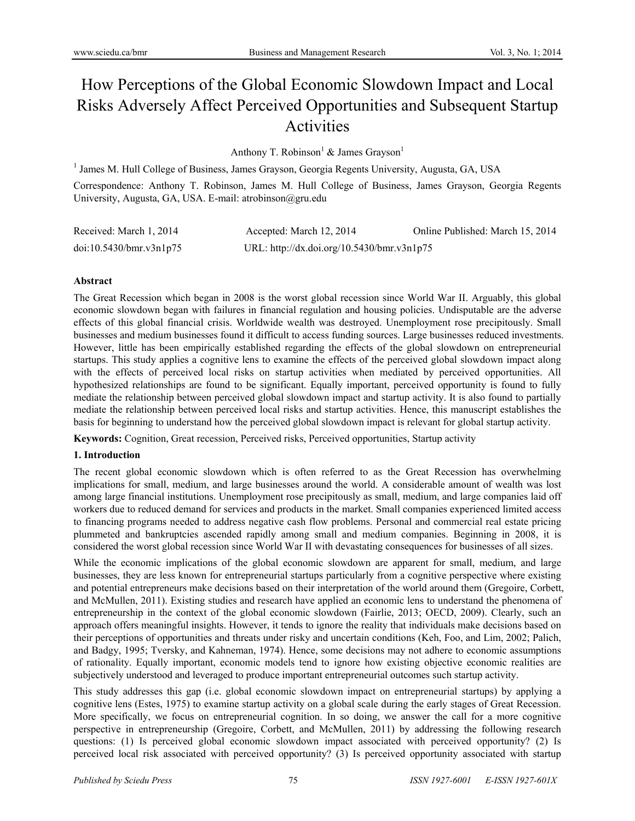# How Perceptions of the Global Economic Slowdown Impact and Local Risks Adversely Affect Perceived Opportunities and Subsequent Startup Activities

Anthony T. Robinson<sup>1</sup> & James Grayson<sup>1</sup>

<sup>1</sup> James M. Hull College of Business, James Grayson, Georgia Regents University, Augusta, GA, USA

Correspondence: Anthony T. Robinson, James M. Hull College of Business, James Grayson, Georgia Regents University, Augusta, GA, USA. E-mail: atrobinson@gru.edu

| Received: March 1, 2014 | Accepted: March 12, 2014                   | Online Published: March 15, 2014 |
|-------------------------|--------------------------------------------|----------------------------------|
| doi:10.5430/bmr.v3n1p75 | URL: http://dx.doi.org/10.5430/bmr.v3n1p75 |                                  |

#### **Abstract**

The Great Recession which began in 2008 is the worst global recession since World War II. Arguably, this global economic slowdown began with failures in financial regulation and housing policies. Undisputable are the adverse effects of this global financial crisis. Worldwide wealth was destroyed. Unemployment rose precipitously. Small businesses and medium businesses found it difficult to access funding sources. Large businesses reduced investments. However, little has been empirically established regarding the effects of the global slowdown on entrepreneurial startups. This study applies a cognitive lens to examine the effects of the perceived global slowdown impact along with the effects of perceived local risks on startup activities when mediated by perceived opportunities. All hypothesized relationships are found to be significant. Equally important, perceived opportunity is found to fully mediate the relationship between perceived global slowdown impact and startup activity. It is also found to partially mediate the relationship between perceived local risks and startup activities. Hence, this manuscript establishes the basis for beginning to understand how the perceived global slowdown impact is relevant for global startup activity.

**Keywords:** Cognition, Great recession, Perceived risks, Perceived opportunities, Startup activity

## **1. Introduction**

The recent global economic slowdown which is often referred to as the Great Recession has overwhelming implications for small, medium, and large businesses around the world. A considerable amount of wealth was lost among large financial institutions. Unemployment rose precipitously as small, medium, and large companies laid off workers due to reduced demand for services and products in the market. Small companies experienced limited access to financing programs needed to address negative cash flow problems. Personal and commercial real estate pricing plummeted and bankruptcies ascended rapidly among small and medium companies. Beginning in 2008, it is considered the worst global recession since World War II with devastating consequences for businesses of all sizes.

While the economic implications of the global economic slowdown are apparent for small, medium, and large businesses, they are less known for entrepreneurial startups particularly from a cognitive perspective where existing and potential entrepreneurs make decisions based on their interpretation of the world around them (Gregoire, Corbett, and McMullen, 2011). Existing studies and research have applied an economic lens to understand the phenomena of entrepreneurship in the context of the global economic slowdown (Fairlie, 2013; OECD, 2009). Clearly, such an approach offers meaningful insights. However, it tends to ignore the reality that individuals make decisions based on their perceptions of opportunities and threats under risky and uncertain conditions (Keh, Foo, and Lim, 2002; Palich, and Badgy, 1995; Tversky, and Kahneman, 1974). Hence, some decisions may not adhere to economic assumptions of rationality. Equally important, economic models tend to ignore how existing objective economic realities are subjectively understood and leveraged to produce important entrepreneurial outcomes such startup activity.

This study addresses this gap (i.e. global economic slowdown impact on entrepreneurial startups) by applying a cognitive lens (Estes, 1975) to examine startup activity on a global scale during the early stages of Great Recession. More specifically, we focus on entrepreneurial cognition. In so doing, we answer the call for a more cognitive perspective in entrepreneurship (Gregoire, Corbett, and McMullen, 2011) by addressing the following research questions: (1) Is perceived global economic slowdown impact associated with perceived opportunity? (2) Is perceived local risk associated with perceived opportunity? (3) Is perceived opportunity associated with startup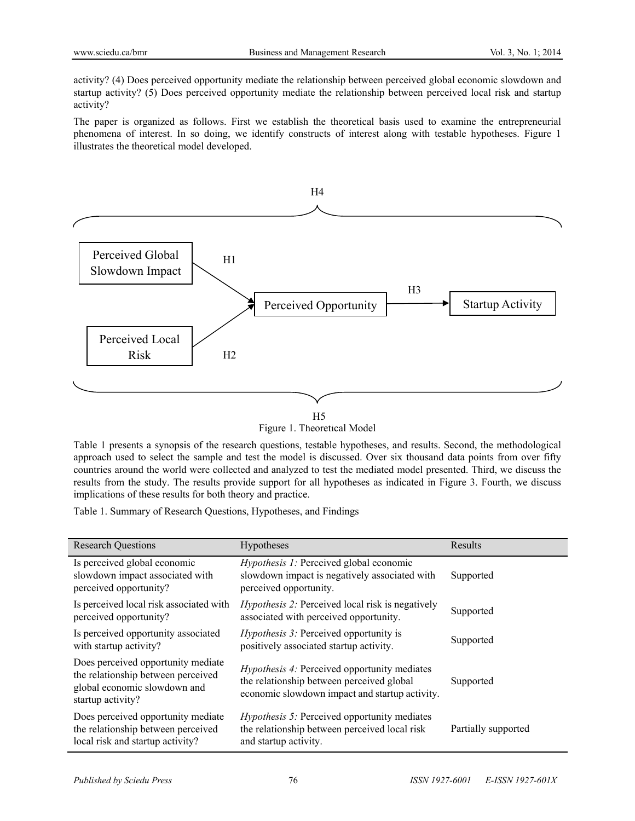activity? (4) Does perceived opportunity mediate the relationship between perceived global economic slowdown and startup activity? (5) Does perceived opportunity mediate the relationship between perceived local risk and startup activity?

The paper is organized as follows. First we establish the theoretical basis used to examine the entrepreneurial phenomena of interest. In so doing, we identify constructs of interest along with testable hypotheses. Figure 1 illustrates the theoretical model developed.



Figure 1. Theoretical Model

Table 1 presents a synopsis of the research questions, testable hypotheses, and results. Second, the methodological approach used to select the sample and test the model is discussed. Over six thousand data points from over fifty countries around the world were collected and analyzed to test the mediated model presented. Third, we discuss the results from the study. The results provide support for all hypotheses as indicated in Figure 3. Fourth, we discuss implications of these results for both theory and practice.

Table 1. Summary of Research Questions, Hypotheses, and Findings

| <b>Research Questions</b>                                                                                                     | Hypotheses                                                                                                                                         | Results             |
|-------------------------------------------------------------------------------------------------------------------------------|----------------------------------------------------------------------------------------------------------------------------------------------------|---------------------|
| Is perceived global economic<br>slowdown impact associated with<br>perceived opportunity?                                     | <i>Hypothesis 1:</i> Perceived global economic<br>slowdown impact is negatively associated with<br>perceived opportunity.                          | Supported           |
| Is perceived local risk associated with<br>perceived opportunity?                                                             | <i>Hypothesis 2:</i> Perceived local risk is negatively<br>associated with perceived opportunity.                                                  | Supported           |
| Is perceived opportunity associated<br>with startup activity?                                                                 | <i>Hypothesis 3:</i> Perceived opportunity is<br>positively associated startup activity.                                                           | Supported           |
| Does perceived opportunity mediate<br>the relationship between perceived<br>global economic slowdown and<br>startup activity? | <i>Hypothesis 4:</i> Perceived opportunity mediates<br>the relationship between perceived global<br>economic slowdown impact and startup activity. | Supported           |
| Does perceived opportunity mediate<br>the relationship between perceived<br>local risk and startup activity?                  | <i>Hypothesis 5:</i> Perceived opportunity mediates<br>the relationship between perceived local risk<br>and startup activity.                      | Partially supported |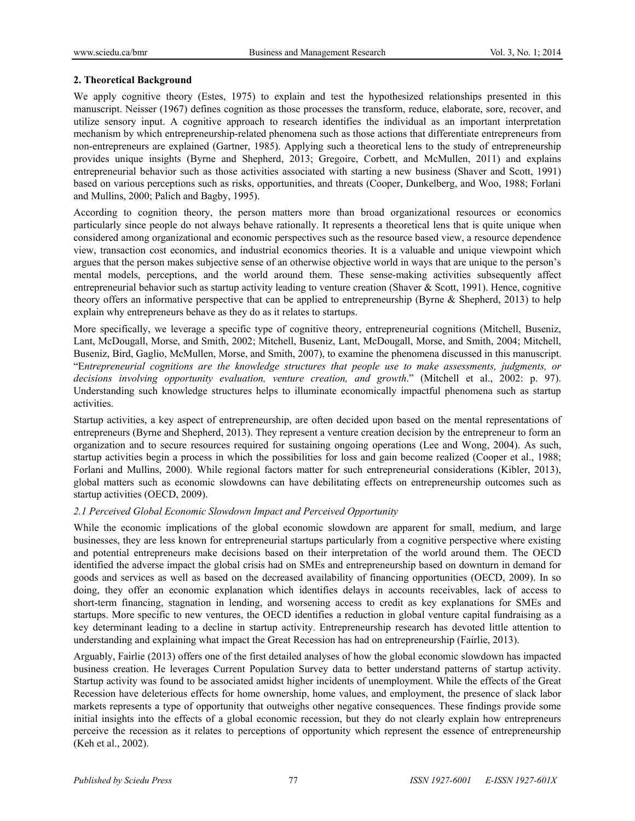## **2. Theoretical Background**

We apply cognitive theory (Estes, 1975) to explain and test the hypothesized relationships presented in this manuscript. Neisser (1967) defines cognition as those processes the transform, reduce, elaborate, sore, recover, and utilize sensory input. A cognitive approach to research identifies the individual as an important interpretation mechanism by which entrepreneurship-related phenomena such as those actions that differentiate entrepreneurs from non-entrepreneurs are explained (Gartner, 1985). Applying such a theoretical lens to the study of entrepreneurship provides unique insights (Byrne and Shepherd, 2013; Gregoire, Corbett, and McMullen, 2011) and explains entrepreneurial behavior such as those activities associated with starting a new business (Shaver and Scott, 1991) based on various perceptions such as risks, opportunities, and threats (Cooper, Dunkelberg, and Woo, 1988; Forlani and Mullins, 2000; Palich and Bagby, 1995).

According to cognition theory, the person matters more than broad organizational resources or economics particularly since people do not always behave rationally. It represents a theoretical lens that is quite unique when considered among organizational and economic perspectives such as the resource based view, a resource dependence view, transaction cost economics, and industrial economics theories. It is a valuable and unique viewpoint which argues that the person makes subjective sense of an otherwise objective world in ways that are unique to the person's mental models, perceptions, and the world around them. These sense-making activities subsequently affect entrepreneurial behavior such as startup activity leading to venture creation (Shaver & Scott, 1991). Hence, cognitive theory offers an informative perspective that can be applied to entrepreneurship (Byrne & Shepherd, 2013) to help explain why entrepreneurs behave as they do as it relates to startups.

More specifically, we leverage a specific type of cognitive theory, entrepreneurial cognitions (Mitchell, Buseniz, Lant, McDougall, Morse, and Smith, 2002; Mitchell, Buseniz, Lant, McDougall, Morse, and Smith, 2004; Mitchell, Buseniz, Bird, Gaglio, McMullen, Morse, and Smith, 2007), to examine the phenomena discussed in this manuscript. "E*ntrepreneurial cognitions are the knowledge structures that people use to make assessments, judgments, or decisions involving opportunity evaluation, venture creation, and growth*." (Mitchell et al., 2002: p. 97). Understanding such knowledge structures helps to illuminate economically impactful phenomena such as startup activities.

Startup activities, a key aspect of entrepreneurship, are often decided upon based on the mental representations of entrepreneurs (Byrne and Shepherd, 2013). They represent a venture creation decision by the entrepreneur to form an organization and to secure resources required for sustaining ongoing operations (Lee and Wong, 2004). As such, startup activities begin a process in which the possibilities for loss and gain become realized (Cooper et al., 1988; Forlani and Mullins, 2000). While regional factors matter for such entrepreneurial considerations (Kibler, 2013), global matters such as economic slowdowns can have debilitating effects on entrepreneurship outcomes such as startup activities (OECD, 2009).

## *2.1 Perceived Global Economic Slowdown Impact and Perceived Opportunity*

While the economic implications of the global economic slowdown are apparent for small, medium, and large businesses, they are less known for entrepreneurial startups particularly from a cognitive perspective where existing and potential entrepreneurs make decisions based on their interpretation of the world around them. The OECD identified the adverse impact the global crisis had on SMEs and entrepreneurship based on downturn in demand for goods and services as well as based on the decreased availability of financing opportunities (OECD, 2009). In so doing, they offer an economic explanation which identifies delays in accounts receivables, lack of access to short-term financing, stagnation in lending, and worsening access to credit as key explanations for SMEs and startups. More specific to new ventures, the OECD identifies a reduction in global venture capital fundraising as a key determinant leading to a decline in startup activity. Entrepreneurship research has devoted little attention to understanding and explaining what impact the Great Recession has had on entrepreneurship (Fairlie, 2013).

Arguably, Fairlie (2013) offers one of the first detailed analyses of how the global economic slowdown has impacted business creation. He leverages Current Population Survey data to better understand patterns of startup activity. Startup activity was found to be associated amidst higher incidents of unemployment. While the effects of the Great Recession have deleterious effects for home ownership, home values, and employment, the presence of slack labor markets represents a type of opportunity that outweighs other negative consequences. These findings provide some initial insights into the effects of a global economic recession, but they do not clearly explain how entrepreneurs perceive the recession as it relates to perceptions of opportunity which represent the essence of entrepreneurship (Keh et al., 2002).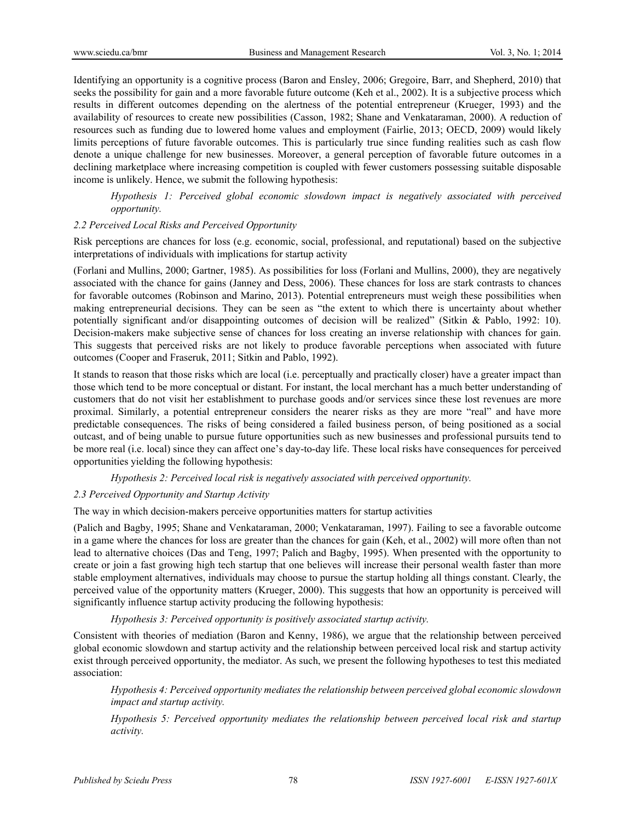Identifying an opportunity is a cognitive process (Baron and Ensley, 2006; Gregoire, Barr, and Shepherd, 2010) that seeks the possibility for gain and a more favorable future outcome (Keh et al., 2002). It is a subjective process which results in different outcomes depending on the alertness of the potential entrepreneur (Krueger, 1993) and the availability of resources to create new possibilities (Casson, 1982; Shane and Venkataraman, 2000). A reduction of resources such as funding due to lowered home values and employment (Fairlie, 2013; OECD, 2009) would likely limits perceptions of future favorable outcomes. This is particularly true since funding realities such as cash flow denote a unique challenge for new businesses. Moreover, a general perception of favorable future outcomes in a declining marketplace where increasing competition is coupled with fewer customers possessing suitable disposable income is unlikely. Hence, we submit the following hypothesis:

*Hypothesis 1: Perceived global economic slowdown impact is negatively associated with perceived opportunity.* 

#### *2.2 Perceived Local Risks and Perceived Opportunity*

Risk perceptions are chances for loss (e.g. economic, social, professional, and reputational) based on the subjective interpretations of individuals with implications for startup activity

(Forlani and Mullins, 2000; Gartner, 1985). As possibilities for loss (Forlani and Mullins, 2000), they are negatively associated with the chance for gains (Janney and Dess, 2006). These chances for loss are stark contrasts to chances for favorable outcomes (Robinson and Marino, 2013). Potential entrepreneurs must weigh these possibilities when making entrepreneurial decisions. They can be seen as "the extent to which there is uncertainty about whether potentially significant and/or disappointing outcomes of decision will be realized" (Sitkin & Pablo, 1992: 10). Decision-makers make subjective sense of chances for loss creating an inverse relationship with chances for gain. This suggests that perceived risks are not likely to produce favorable perceptions when associated with future outcomes (Cooper and Fraseruk, 2011; Sitkin and Pablo, 1992).

It stands to reason that those risks which are local (i.e. perceptually and practically closer) have a greater impact than those which tend to be more conceptual or distant. For instant, the local merchant has a much better understanding of customers that do not visit her establishment to purchase goods and/or services since these lost revenues are more proximal. Similarly, a potential entrepreneur considers the nearer risks as they are more "real" and have more predictable consequences. The risks of being considered a failed business person, of being positioned as a social outcast, and of being unable to pursue future opportunities such as new businesses and professional pursuits tend to be more real (i.e. local) since they can affect one's day-to-day life. These local risks have consequences for perceived opportunities yielding the following hypothesis:

#### *Hypothesis 2: Perceived local risk is negatively associated with perceived opportunity.*

## *2.3 Perceived Opportunity and Startup Activity*

The way in which decision-makers perceive opportunities matters for startup activities

(Palich and Bagby, 1995; Shane and Venkataraman, 2000; Venkataraman, 1997). Failing to see a favorable outcome in a game where the chances for loss are greater than the chances for gain (Keh, et al., 2002) will more often than not lead to alternative choices (Das and Teng, 1997; Palich and Bagby, 1995). When presented with the opportunity to create or join a fast growing high tech startup that one believes will increase their personal wealth faster than more stable employment alternatives, individuals may choose to pursue the startup holding all things constant. Clearly, the perceived value of the opportunity matters (Krueger, 2000). This suggests that how an opportunity is perceived will significantly influence startup activity producing the following hypothesis:

#### *Hypothesis 3: Perceived opportunity is positively associated startup activity.*

Consistent with theories of mediation (Baron and Kenny, 1986), we argue that the relationship between perceived global economic slowdown and startup activity and the relationship between perceived local risk and startup activity exist through perceived opportunity, the mediator. As such, we present the following hypotheses to test this mediated association:

*Hypothesis 4: Perceived opportunity mediates the relationship between perceived global economic slowdown impact and startup activity.* 

*Hypothesis 5: Perceived opportunity mediates the relationship between perceived local risk and startup activity.*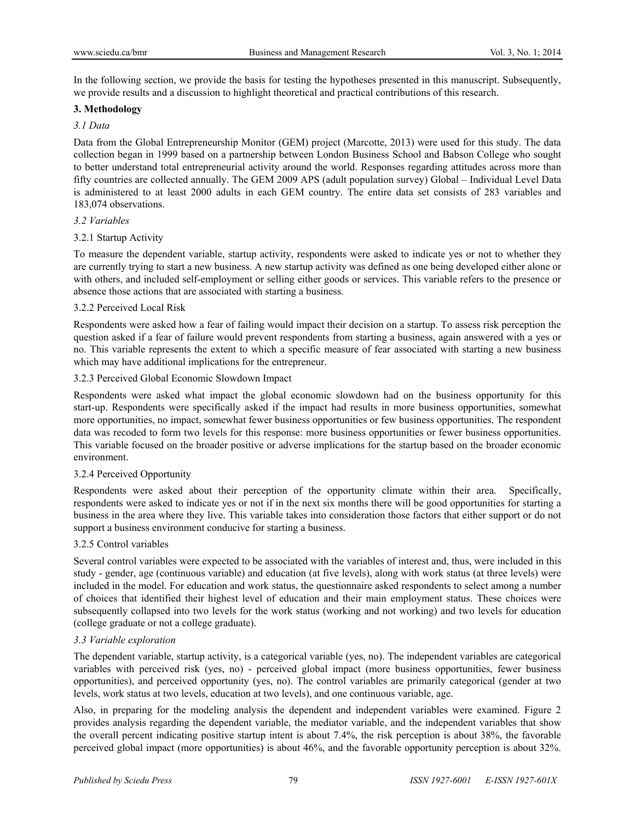In the following section, we provide the basis for testing the hypotheses presented in this manuscript. Subsequently, we provide results and a discussion to highlight theoretical and practical contributions of this research.

## **3. Methodology**

## *3.1 Data*

Data from the Global Entrepreneurship Monitor (GEM) project (Marcotte, 2013) were used for this study. The data collection began in 1999 based on a partnership between London Business School and Babson College who sought to better understand total entrepreneurial activity around the world. Responses regarding attitudes across more than fifty countries are collected annually. The GEM 2009 APS (adult population survey) Global – Individual Level Data is administered to at least 2000 adults in each GEM country. The entire data set consists of 283 variables and 183,074 observations.

#### *3.2 Variables*

#### 3.2.1 Startup Activity

To measure the dependent variable, startup activity, respondents were asked to indicate yes or not to whether they are currently trying to start a new business. A new startup activity was defined as one being developed either alone or with others, and included self-employment or selling either goods or services. This variable refers to the presence or absence those actions that are associated with starting a business.

#### 3.2.2 Perceived Local Risk

Respondents were asked how a fear of failing would impact their decision on a startup. To assess risk perception the question asked if a fear of failure would prevent respondents from starting a business, again answered with a yes or no. This variable represents the extent to which a specific measure of fear associated with starting a new business which may have additional implications for the entrepreneur.

## 3.2.3 Perceived Global Economic Slowdown Impact

Respondents were asked what impact the global economic slowdown had on the business opportunity for this start-up. Respondents were specifically asked if the impact had results in more business opportunities, somewhat more opportunities, no impact, somewhat fewer business opportunities or few business opportunities. The respondent data was recoded to form two levels for this response: more business opportunities or fewer business opportunities. This variable focused on the broader positive or adverse implications for the startup based on the broader economic environment.

## 3.2.4 Perceived Opportunity

Respondents were asked about their perception of the opportunity climate within their area. Specifically, respondents were asked to indicate yes or not if in the next six months there will be good opportunities for starting a business in the area where they live. This variable takes into consideration those factors that either support or do not support a business environment conducive for starting a business.

#### 3.2.5 Control variables

Several control variables were expected to be associated with the variables of interest and, thus, were included in this study - gender, age (continuous variable) and education (at five levels), along with work status (at three levels) were included in the model. For education and work status, the questionnaire asked respondents to select among a number of choices that identified their highest level of education and their main employment status. These choices were subsequently collapsed into two levels for the work status (working and not working) and two levels for education (college graduate or not a college graduate).

## *3.3 Variable exploration*

The dependent variable, startup activity, is a categorical variable (yes, no). The independent variables are categorical variables with perceived risk (yes, no) - perceived global impact (more business opportunities, fewer business opportunities), and perceived opportunity (yes, no). The control variables are primarily categorical (gender at two levels, work status at two levels, education at two levels), and one continuous variable, age.

Also, in preparing for the modeling analysis the dependent and independent variables were examined. Figure 2 provides analysis regarding the dependent variable, the mediator variable, and the independent variables that show the overall percent indicating positive startup intent is about 7.4%, the risk perception is about 38%, the favorable perceived global impact (more opportunities) is about 46%, and the favorable opportunity perception is about 32%.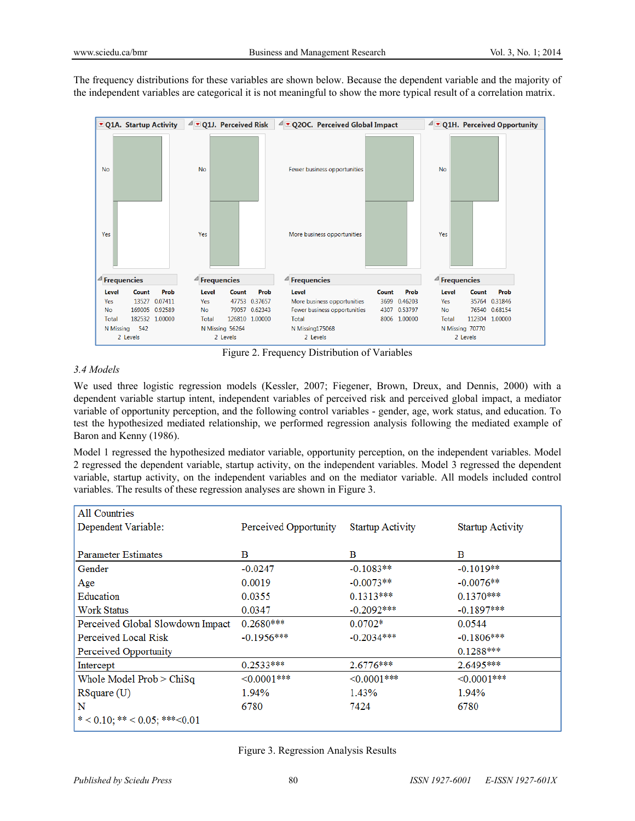The frequency distributions for these variables are shown below. Because the dependent variable and the majority of the independent variables are categorical it is not meaningful to show the more typical result of a correlation matrix.



Figure 2. Frequency Distribution of Variables

## *3.4 Models*

We used three logistic regression models (Kessler, 2007; Fiegener, Brown, Dreux, and Dennis, 2000) with a dependent variable startup intent, independent variables of perceived risk and perceived global impact, a mediator variable of opportunity perception, and the following control variables - gender, age, work status, and education. To test the hypothesized mediated relationship, we performed regression analysis following the mediated example of Baron and Kenny (1986).

Model 1 regressed the hypothesized mediator variable, opportunity perception, on the independent variables. Model 2 regressed the dependent variable, startup activity, on the independent variables. Model 3 regressed the dependent variable, startup activity, on the independent variables and on the mediator variable. All models included control variables. The results of these regression analyses are shown in Figure 3.

| All Countries                    |                       |                         |                         |
|----------------------------------|-----------------------|-------------------------|-------------------------|
| Dependent Variable:              | Perceived Opportunity | <b>Startup Activity</b> | <b>Startup Activity</b> |
|                                  |                       |                         |                         |
| Parameter Estimates              | в                     | в                       | В                       |
| Gender                           | $-0.0247$             | $-0.1083**$             | $-0.1019**$             |
| Age                              | 0.0019                | $-0.0073**$             | $-0.0076**$             |
| Education                        | 0.0355                | $0.1313***$             | $0.1370***$             |
| Work Status                      | 0.0347                | $-0.2092***$            | $-0.1897***$            |
| Perceived Global Slowdown Impact | $0.2680***$           | $0.0702*$               | 0.0544                  |
| Perceived Local Risk             | $-0.1956***$          | $-0.2034***$            | $-0.1806***$            |
| Perceived Opportunity            |                       |                         | $0.1288***$             |
| Intercept                        | $0.2533***$           | $2.6776***$             | 2.6495***               |
| Whole Model $Prob > ChiSq$       | $\leq 0.0001$ ***     | $\leq 0.0001$ ***       | $\leq 0.0001$ ***       |
| RSquare(U)                       | 1.94%                 | 1.43%                   | 1.94%                   |
| N                                | 6780                  | 7424                    | 6780                    |
| $*$ < 0.10; ** < 0.05; ***<0.01  |                       |                         |                         |

Figure 3. Regression Analysis Results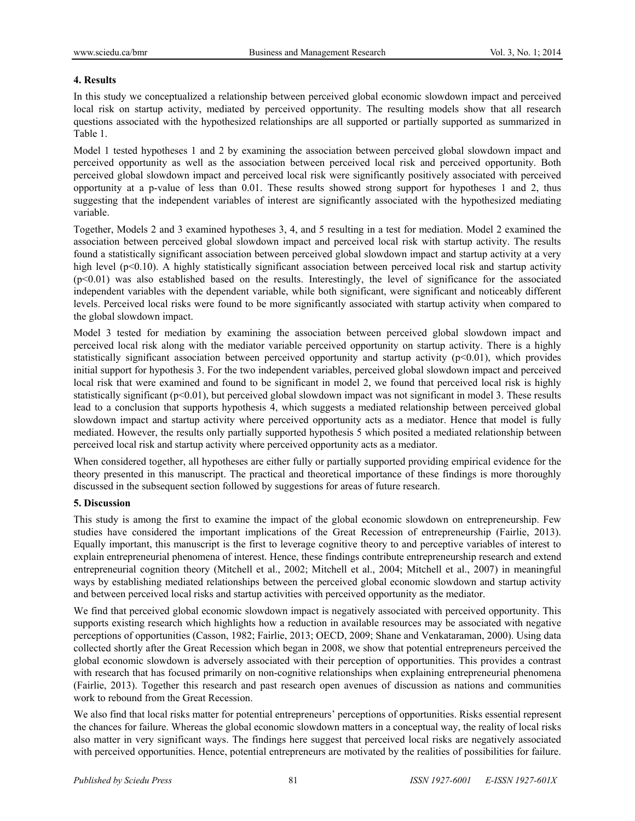## **4. Results**

In this study we conceptualized a relationship between perceived global economic slowdown impact and perceived local risk on startup activity, mediated by perceived opportunity. The resulting models show that all research questions associated with the hypothesized relationships are all supported or partially supported as summarized in Table 1.

Model 1 tested hypotheses 1 and 2 by examining the association between perceived global slowdown impact and perceived opportunity as well as the association between perceived local risk and perceived opportunity. Both perceived global slowdown impact and perceived local risk were significantly positively associated with perceived opportunity at a p-value of less than 0.01. These results showed strong support for hypotheses 1 and 2, thus suggesting that the independent variables of interest are significantly associated with the hypothesized mediating variable.

Together, Models 2 and 3 examined hypotheses 3, 4, and 5 resulting in a test for mediation. Model 2 examined the association between perceived global slowdown impact and perceived local risk with startup activity. The results found a statistically significant association between perceived global slowdown impact and startup activity at a very high level ( $p<0.10$ ). A highly statistically significant association between perceived local risk and startup activity (p<0.01) was also established based on the results. Interestingly, the level of significance for the associated independent variables with the dependent variable, while both significant, were significant and noticeably different levels. Perceived local risks were found to be more significantly associated with startup activity when compared to the global slowdown impact.

Model 3 tested for mediation by examining the association between perceived global slowdown impact and perceived local risk along with the mediator variable perceived opportunity on startup activity. There is a highly statistically significant association between perceived opportunity and startup activity  $(p<0.01)$ , which provides initial support for hypothesis 3. For the two independent variables, perceived global slowdown impact and perceived local risk that were examined and found to be significant in model 2, we found that perceived local risk is highly statistically significant (p<0.01), but perceived global slowdown impact was not significant in model 3. These results lead to a conclusion that supports hypothesis 4, which suggests a mediated relationship between perceived global slowdown impact and startup activity where perceived opportunity acts as a mediator. Hence that model is fully mediated. However, the results only partially supported hypothesis 5 which posited a mediated relationship between perceived local risk and startup activity where perceived opportunity acts as a mediator.

When considered together, all hypotheses are either fully or partially supported providing empirical evidence for the theory presented in this manuscript. The practical and theoretical importance of these findings is more thoroughly discussed in the subsequent section followed by suggestions for areas of future research.

## **5. Discussion**

This study is among the first to examine the impact of the global economic slowdown on entrepreneurship. Few studies have considered the important implications of the Great Recession of entrepreneurship (Fairlie, 2013). Equally important, this manuscript is the first to leverage cognitive theory to and perceptive variables of interest to explain entrepreneurial phenomena of interest. Hence, these findings contribute entrepreneurship research and extend entrepreneurial cognition theory (Mitchell et al., 2002; Mitchell et al., 2004; Mitchell et al., 2007) in meaningful ways by establishing mediated relationships between the perceived global economic slowdown and startup activity and between perceived local risks and startup activities with perceived opportunity as the mediator.

We find that perceived global economic slowdown impact is negatively associated with perceived opportunity. This supports existing research which highlights how a reduction in available resources may be associated with negative perceptions of opportunities (Casson, 1982; Fairlie, 2013; OECD, 2009; Shane and Venkataraman, 2000). Using data collected shortly after the Great Recession which began in 2008, we show that potential entrepreneurs perceived the global economic slowdown is adversely associated with their perception of opportunities. This provides a contrast with research that has focused primarily on non-cognitive relationships when explaining entrepreneurial phenomena (Fairlie, 2013). Together this research and past research open avenues of discussion as nations and communities work to rebound from the Great Recession.

We also find that local risks matter for potential entrepreneurs' perceptions of opportunities. Risks essential represent the chances for failure. Whereas the global economic slowdown matters in a conceptual way, the reality of local risks also matter in very significant ways. The findings here suggest that perceived local risks are negatively associated with perceived opportunities. Hence, potential entrepreneurs are motivated by the realities of possibilities for failure.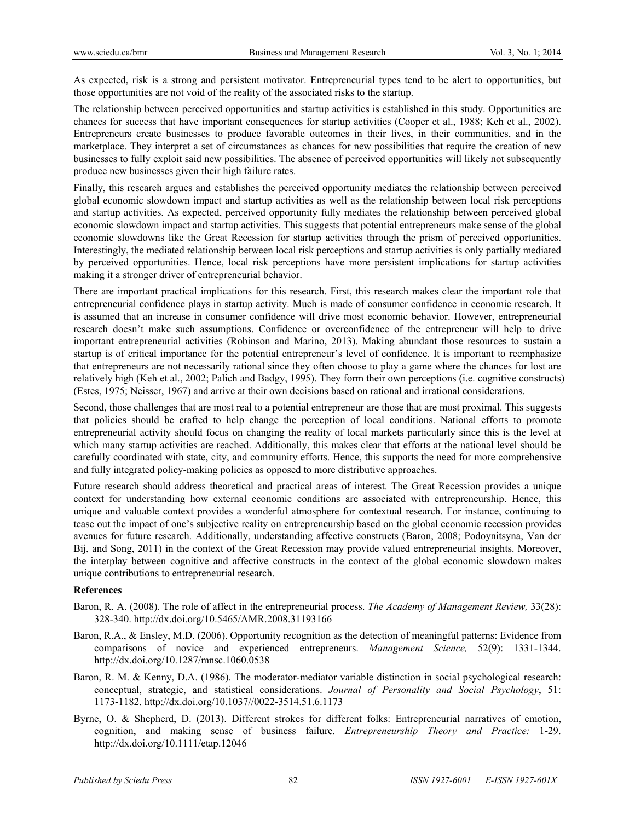As expected, risk is a strong and persistent motivator. Entrepreneurial types tend to be alert to opportunities, but those opportunities are not void of the reality of the associated risks to the startup.

The relationship between perceived opportunities and startup activities is established in this study. Opportunities are chances for success that have important consequences for startup activities (Cooper et al., 1988; Keh et al., 2002). Entrepreneurs create businesses to produce favorable outcomes in their lives, in their communities, and in the marketplace. They interpret a set of circumstances as chances for new possibilities that require the creation of new businesses to fully exploit said new possibilities. The absence of perceived opportunities will likely not subsequently produce new businesses given their high failure rates.

Finally, this research argues and establishes the perceived opportunity mediates the relationship between perceived global economic slowdown impact and startup activities as well as the relationship between local risk perceptions and startup activities. As expected, perceived opportunity fully mediates the relationship between perceived global economic slowdown impact and startup activities. This suggests that potential entrepreneurs make sense of the global economic slowdowns like the Great Recession for startup activities through the prism of perceived opportunities. Interestingly, the mediated relationship between local risk perceptions and startup activities is only partially mediated by perceived opportunities. Hence, local risk perceptions have more persistent implications for startup activities making it a stronger driver of entrepreneurial behavior.

There are important practical implications for this research. First, this research makes clear the important role that entrepreneurial confidence plays in startup activity. Much is made of consumer confidence in economic research. It is assumed that an increase in consumer confidence will drive most economic behavior. However, entrepreneurial research doesn't make such assumptions. Confidence or overconfidence of the entrepreneur will help to drive important entrepreneurial activities (Robinson and Marino, 2013). Making abundant those resources to sustain a startup is of critical importance for the potential entrepreneur's level of confidence. It is important to reemphasize that entrepreneurs are not necessarily rational since they often choose to play a game where the chances for lost are relatively high (Keh et al., 2002; Palich and Badgy, 1995). They form their own perceptions (i.e. cognitive constructs) (Estes, 1975; Neisser, 1967) and arrive at their own decisions based on rational and irrational considerations.

Second, those challenges that are most real to a potential entrepreneur are those that are most proximal. This suggests that policies should be crafted to help change the perception of local conditions. National efforts to promote entrepreneurial activity should focus on changing the reality of local markets particularly since this is the level at which many startup activities are reached. Additionally, this makes clear that efforts at the national level should be carefully coordinated with state, city, and community efforts. Hence, this supports the need for more comprehensive and fully integrated policy-making policies as opposed to more distributive approaches.

Future research should address theoretical and practical areas of interest. The Great Recession provides a unique context for understanding how external economic conditions are associated with entrepreneurship. Hence, this unique and valuable context provides a wonderful atmosphere for contextual research. For instance, continuing to tease out the impact of one's subjective reality on entrepreneurship based on the global economic recession provides avenues for future research. Additionally, understanding affective constructs (Baron, 2008; Podoynitsyna, Van der Bij, and Song, 2011) in the context of the Great Recession may provide valued entrepreneurial insights. Moreover, the interplay between cognitive and affective constructs in the context of the global economic slowdown makes unique contributions to entrepreneurial research.

#### **References**

- Baron, R. A. (2008). The role of affect in the entrepreneurial process. *The Academy of Management Review,* 33(28): 328-340. http://dx.doi.org/10.5465/AMR.2008.31193166
- Baron, R.A., & Ensley, M.D. (2006). Opportunity recognition as the detection of meaningful patterns: Evidence from comparisons of novice and experienced entrepreneurs. *Management Science,* 52(9): 1331-1344. http://dx.doi.org/10.1287/mnsc.1060.0538
- Baron, R. M. & Kenny, D.A. (1986). The moderator-mediator variable distinction in social psychological research: conceptual, strategic, and statistical considerations. *Journal of Personality and Social Psychology*, 51: 1173-1182. http://dx.doi.org/10.1037//0022-3514.51.6.1173
- Byrne, O. & Shepherd, D. (2013). Different strokes for different folks: Entrepreneurial narratives of emotion, cognition, and making sense of business failure. *Entrepreneurship Theory and Practice:* 1-29. http://dx.doi.org/10.1111/etap.12046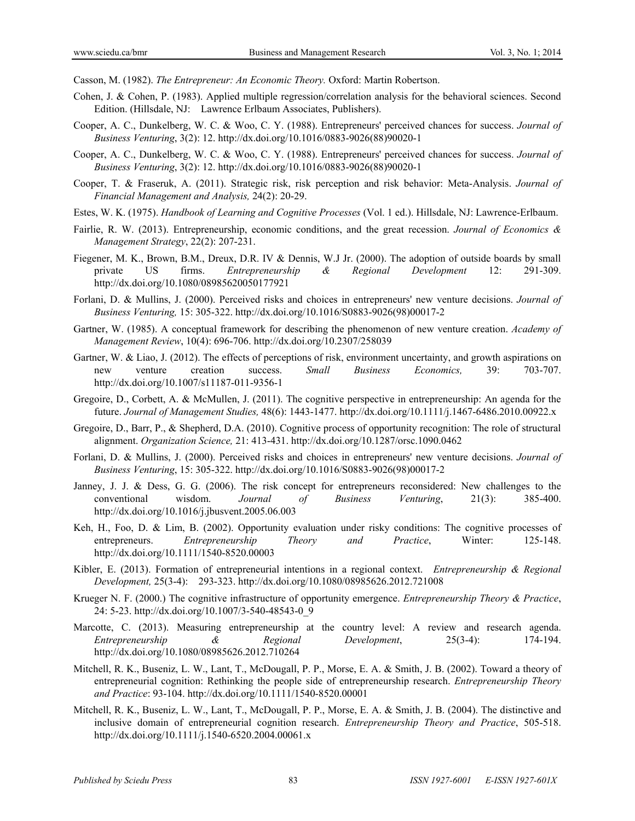Casson, M. (1982). *The Entrepreneur: An Economic Theory.* Oxford: Martin Robertson.

- Cohen, J. & Cohen, P. (1983). Applied multiple regression/correlation analysis for the behavioral sciences. Second Edition. (Hillsdale, NJ: Lawrence Erlbaum Associates, Publishers).
- Cooper, A. C., Dunkelberg, W. C. & Woo, C. Y. (1988). Entrepreneurs' perceived chances for success. *Journal of Business Venturing*, 3(2): 12. http://dx.doi.org/10.1016/0883-9026(88)90020-1
- Cooper, A. C., Dunkelberg, W. C. & Woo, C. Y. (1988). Entrepreneurs' perceived chances for success. *Journal of Business Venturing*, 3(2): 12. http://dx.doi.org/10.1016/0883-9026(88)90020-1
- Cooper, T. & Fraseruk, A. (2011). Strategic risk, risk perception and risk behavior: Meta-Analysis. *Journal of Financial Management and Analysis,* 24(2): 20-29.
- Estes, W. K. (1975). *Handbook of Learning and Cognitive Processes* (Vol. 1 ed.). Hillsdale, NJ: Lawrence-Erlbaum.
- Fairlie, R. W. (2013). Entrepreneurship, economic conditions, and the great recession. *Journal of Economics & Management Strategy*, 22(2): 207-231.
- Fiegener, M. K., Brown, B.M., Dreux, D.R. IV & Dennis, W.J Jr. (2000). The adoption of outside boards by small private US firms. *Entrepreneurship & Regional Development* 12: 291-309. http://dx.doi.org/10.1080/08985620050177921
- Forlani, D. & Mullins, J. (2000). Perceived risks and choices in entrepreneurs' new venture decisions. *Journal of Business Venturing,* 15: 305-322. http://dx.doi.org/10.1016/S0883-9026(98)00017-2
- Gartner, W. (1985). A conceptual framework for describing the phenomenon of new venture creation. *Academy of Management Review*, 10(4): 696-706. http://dx.doi.org/10.2307/258039
- Gartner, W. & Liao, J. (2012). The effects of perceptions of risk, environment uncertainty, and growth aspirations on new venture creation success. *Small Business Economics,* 39: 703-707. http://dx.doi.org/10.1007/s11187-011-9356-1
- Gregoire, D., Corbett, A. & McMullen, J. (2011). The cognitive perspective in entrepreneurship: An agenda for the future. *Journal of Management Studies,* 48(6): 1443-1477. http://dx.doi.org/10.1111/j.1467-6486.2010.00922.x
- Gregoire, D., Barr, P., & Shepherd, D.A. (2010). Cognitive process of opportunity recognition: The role of structural alignment. *Organization Science,* 21: 413-431. http://dx.doi.org/10.1287/orsc.1090.0462
- Forlani, D. & Mullins, J. (2000). Perceived risks and choices in entrepreneurs' new venture decisions. *Journal of Business Venturing*, 15: 305-322. http://dx.doi.org/10.1016/S0883-9026(98)00017-2
- Janney, J. J. & Dess, G. G. (2006). The risk concept for entrepreneurs reconsidered: New challenges to the conventional wisdom. *Journal of Business Venturing*, 21(3): 385-400. http://dx.doi.org/10.1016/j.jbusvent.2005.06.003
- Keh, H., Foo, D. & Lim, B. (2002). Opportunity evaluation under risky conditions: The cognitive processes of entrepreneurs. *Entrepreneurship Theory and Practice*, Winter: 125-148. http://dx.doi.org/10.1111/1540-8520.00003
- Kibler, E. (2013). Formation of entrepreneurial intentions in a regional context. *Entrepreneurship & Regional Development,* 25(3-4): 293-323. http://dx.doi.org/10.1080/08985626.2012.721008
- Krueger N. F. (2000.) The cognitive infrastructure of opportunity emergence. *Entrepreneurship Theory & Practice*, 24: 5-23. http://dx.doi.org/10.1007/3-540-48543-0\_9
- Marcotte, C. (2013). Measuring entrepreneurship at the country level: A review and research agenda. *Entrepreneurship & Regional Development*, 25(3-4): 174-194. http://dx.doi.org/10.1080/08985626.2012.710264
- Mitchell, R. K., Buseniz, L. W., Lant, T., McDougall, P. P., Morse, E. A. & Smith, J. B. (2002). Toward a theory of entrepreneurial cognition: Rethinking the people side of entrepreneurship research. *Entrepreneurship Theory and Practice*: 93-104. http://dx.doi.org/10.1111/1540-8520.00001
- Mitchell, R. K., Buseniz, L. W., Lant, T., McDougall, P. P., Morse, E. A. & Smith, J. B. (2004). The distinctive and inclusive domain of entrepreneurial cognition research. *Entrepreneurship Theory and Practice*, 505-518. http://dx.doi.org/10.1111/j.1540-6520.2004.00061.x